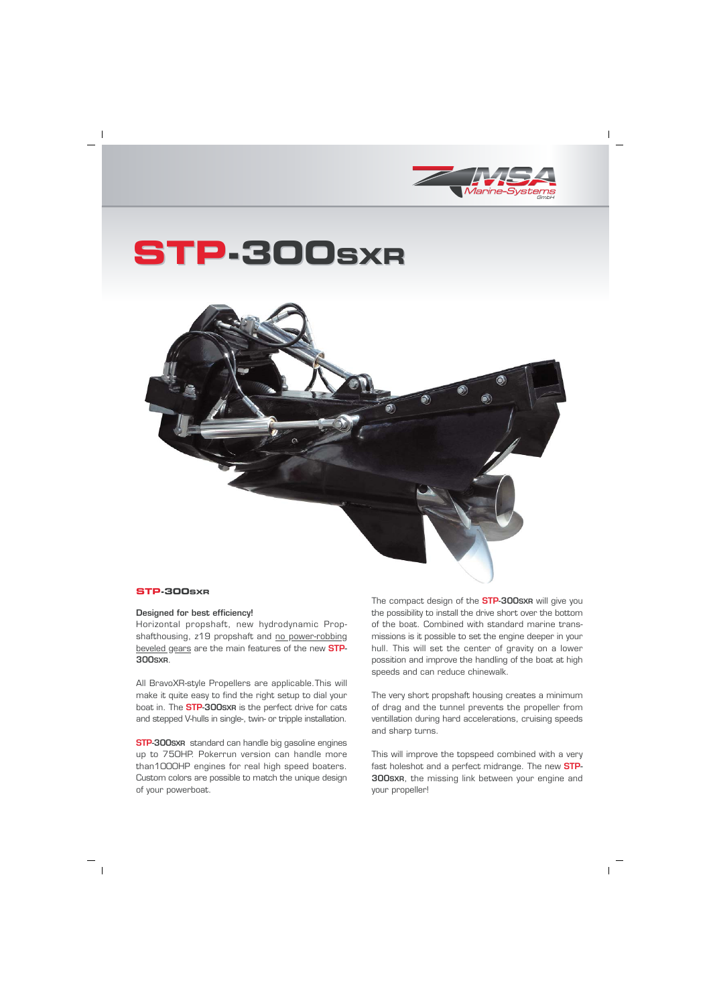

## STP-300sxR



## STP-300sxR

## Designed for best efficiency!

Horizontal propshaft, new hydrodynamic Propshafthousing, z19 propshaft and no power-robbing beveled gears are the main features of the new **STP-300sxR.** 

All BravoXR-style Propellers are applicable. This will make it quite easy to find the right setup to dial your boat in. The **STP-300sxR** is the perfect drive for cats and stepped V-hulls in single-, twin- or tripple installation.

**STP-300sxR** standard can handle big gasoline engines up to 750HP. Pokerrun version can handle more than1000HP engines for real high speed boaters. Custom colors are possible to match the unique design of your powerboat.

The compact design of the **STP-300sxR** will give you the possibility to install the drive short over the bottom of the boat. Combined with standard marine transmissions is it possible to set the engine deeper in your hull. This will set the center of gravity on a lower possition and improve the handling of the boat at high speeds and can reduce chinewalk.

The very short propshaft housing creates a minimum of drag and the tunnel prevents the propeller from ventillation during hard accelerations, cruising speeds and sharp turns.

This will improve the topspeed combined with a very fast holeshot and a perfect midrange. The new **STP-**300sxn, the missing link between your engine and vour propeller!